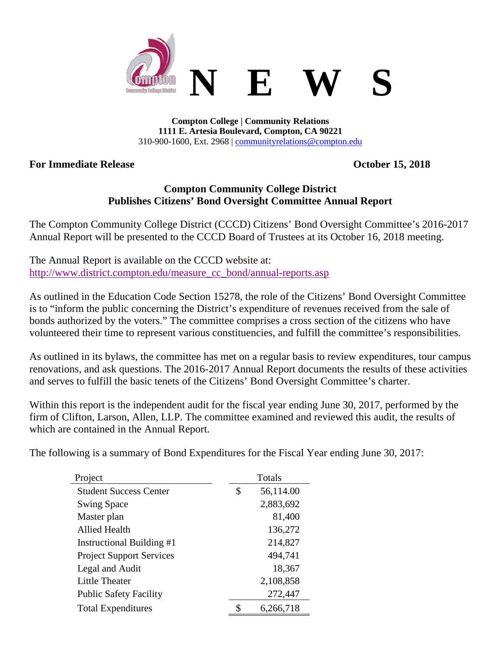

**Compton College | Community Relations 1111 E. Artesia Boulevard, Compton, CA 90221** 310-900-1600, Ext. 2968 | [communityrelations@compton.edu](mailto:communityrelations@compton.edu)

## **For Immediate Release October 15, 2018**

## **Compton Community College District Publishes Citizens' Bond Oversight Committee Annual Report**

The Compton Community College District (CCCD) Citizens' Bond Oversight Committee's 2016-2017 Annual Report will be presented to the CCCD Board of Trustees at its October 16, 2018 meeting.

The Annual Report is available on the CCCD website at: [http://www.district.compton.edu/measure\\_cc\\_bond/annual-reports.asp](http://www.district.compton.edu/measure_cc_bond/annual-reports.asp)

As outlined in the Education Code Section 15278, the role of the Citizens' Bond Oversight Committee is to "inform the public concerning the District's expenditure of revenues received from the sale of bonds authorized by the voters." The committee comprises a cross section of the citizens who have volunteered their time to represent various constituencies, and fulfill the committee's responsibilities.

As outlined in its bylaws, the committee has met on a regular basis to review expenditures, tour campus renovations, and ask questions. The 2016-2017 Annual Report documents the results of these activities and serves to fulfill the basic tenets of the Citizens' Bond Oversight Committee's charter.

Within this report is the independent audit for the fiscal year ending June 30, 2017, performed by the firm of Clifton, Larson, Allen, LLP. The committee examined and reviewed this audit, the results of which are contained in the Annual Report.

The following is a summary of Bond Expenditures for the Fiscal Year ending June 30, 2017:

| Project                         | Totals          |
|---------------------------------|-----------------|
| <b>Student Success Center</b>   | \$<br>56,114.00 |
| <b>Swing Space</b>              | 2,883,692       |
| Master plan                     | 81,400          |
| <b>Allied Health</b>            | 136,272         |
| Instructional Building #1       | 214,827         |
| <b>Project Support Services</b> | 494,741         |
| Legal and Audit                 | 18,367          |
| <b>Little Theater</b>           | 2,108,858       |
| <b>Public Safety Facility</b>   | 272,447         |
| <b>Total Expenditures</b>       | \$<br>6,266,718 |